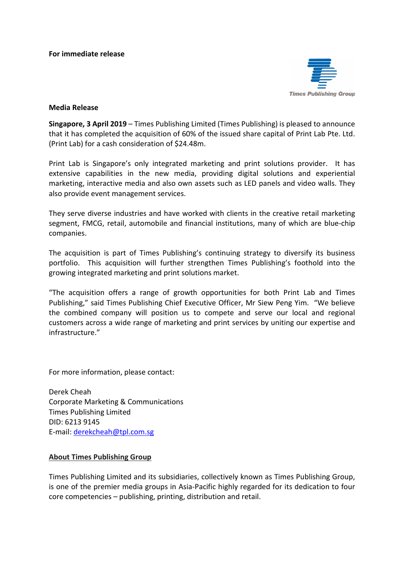## **For immediate release**



## **Media Release**

**Singapore, 3 April 2019** – Times Publishing Limited (Times Publishing) is pleased to announce that it has completed the acquisition of 60% of the issued share capital of Print Lab Pte. Ltd. (Print Lab) for a cash consideration of \$24.48m.

Print Lab is Singapore's only integrated marketing and print solutions provider. It has extensive capabilities in the new media, providing digital solutions and experiential marketing, interactive media and also own assets such as LED panels and video walls. They also provide event management services.

They serve diverse industries and have worked with clients in the creative retail marketing segment, FMCG, retail, automobile and financial institutions, many of which are blue-chip companies.

The acquisition is part of Times Publishing's continuing strategy to diversify its business portfolio. This acquisition will further strengthen Times Publishing's foothold into the growing integrated marketing and print solutions market.

"The acquisition offers a range of growth opportunities for both Print Lab and Times Publishing," said Times Publishing Chief Executive Officer, Mr Siew Peng Yim. "We believe the combined company will position us to compete and serve our local and regional customers across a wide range of marketing and print services by uniting our expertise and infrastructure."

For more information, please contact:

Derek Cheah Corporate Marketing & Communications Times Publishing Limited DID: 6213 9145 E-mail: [derekcheah@tpl.com.sg](mailto:derekcheah@tpl.com.sg) 

## **About Times Publishing Group**

Times Publishing Limited and its subsidiaries, collectively known as Times Publishing Group, is one of the premier media groups in Asia-Pacific highly regarded for its dedication to four core competencies – publishing, printing, distribution and retail.